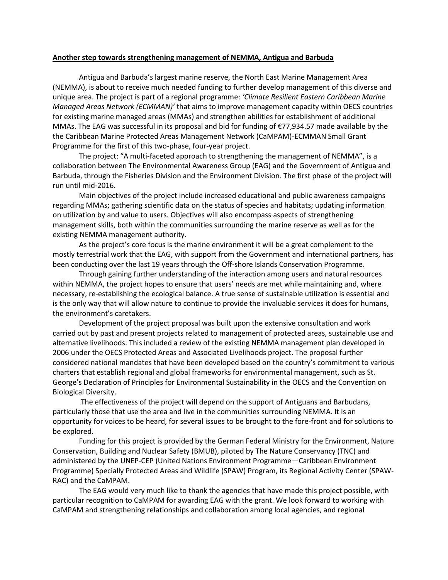## **Another step towards strengthening management of NEMMA, Antigua and Barbuda**

Antigua and Barbuda's largest marine reserve, the North East Marine Management Area (NEMMA), is about to receive much needed funding to further develop management of this diverse and unique area. The project is part of a regional programme: *'Climate Resilient Eastern Caribbean Marine Managed Areas Network (ECMMAN)'* that aims to improve management capacity within OECS countries for existing marine managed areas (MMAs) and strengthen abilities for establishment of additional MMAs. The EAG was successful in its proposal and bid for funding of €77,934.57 made available by the the Caribbean Marine Protected Areas Management Network (CaMPAM)-ECMMAN Small Grant Programme for the first of this two-phase, four-year project.

The project: "A multi-faceted approach to strengthening the management of NEMMA", is a collaboration between The Environmental Awareness Group (EAG) and the Government of Antigua and Barbuda, through the Fisheries Division and the Environment Division. The first phase of the project will run until mid-2016.

Main objectives of the project include increased educational and public awareness campaigns regarding MMAs; gathering scientific data on the status of species and habitats; updating information on utilization by and value to users. Objectives will also encompass aspects of strengthening management skills, both within the communities surrounding the marine reserve as well as for the existing NEMMA management authority.

As the project's core focus is the marine environment it will be a great complement to the mostly terrestrial work that the EAG, with support from the Government and international partners, has been conducting over the last 19 years through the Off-shore Islands Conservation Programme.

Through gaining further understanding of the interaction among users and natural resources within NEMMA, the project hopes to ensure that users' needs are met while maintaining and, where necessary, re-establishing the ecological balance. A true sense of sustainable utilization is essential and is the only way that will allow nature to continue to provide the invaluable services it does for humans, the environment's caretakers.

Development of the project proposal was built upon the extensive consultation and work carried out by past and present projects related to management of protected areas, sustainable use and alternative livelihoods. This included a review of the existing NEMMA management plan developed in 2006 under the OECS Protected Areas and Associated Livelihoods project. The proposal further considered national mandates that have been developed based on the country's commitment to various charters that establish regional and global frameworks for environmental management, such as St. George's Declaration of Principles for Environmental Sustainability in the OECS and the Convention on Biological Diversity.

The effectiveness of the project will depend on the support of Antiguans and Barbudans, particularly those that use the area and live in the communities surrounding NEMMA. It is an opportunity for voices to be heard, for several issues to be brought to the fore-front and for solutions to be explored.

Funding for this project is provided by the German Federal Ministry for the Environment, Nature Conservation, Building and Nuclear Safety (BMUB), piloted by The Nature Conservancy (TNC) and administered by the UNEP-CEP (United Nations Environment Programme—Caribbean Environment Programme) Specially Protected Areas and Wildlife (SPAW) Program, its Regional Activity Center (SPAW-RAC) and the CaMPAM.

The EAG would very much like to thank the agencies that have made this project possible, with particular recognition to CaMPAM for awarding EAG with the grant. We look forward to working with CaMPAM and strengthening relationships and collaboration among local agencies, and regional